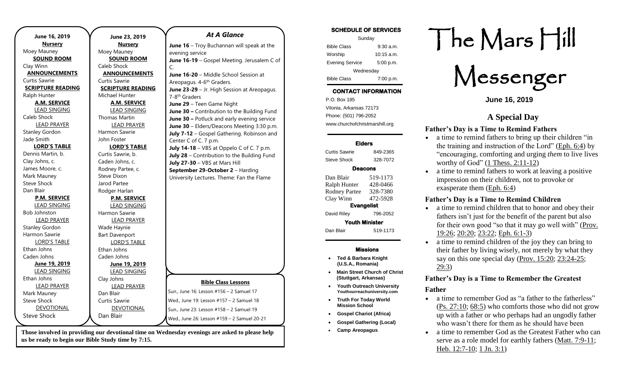| June 16, 2019            | June 23, 2019            | <b>At A Glance</b>                           |
|--------------------------|--------------------------|----------------------------------------------|
| <b>Nursery</b>           | <b>Nursery</b>           | June $16$ – Troy Buchannan will speak at the |
| Moey Mauney              | Moey Mauney              | evening service                              |
| <b>SOUND ROOM</b>        | <b>SOUND ROOM</b>        | June 16-19 - Gospel Meeting. Jerusalem C of  |
| Clay Winn                | Caleb Shock              | C.                                           |
| <b>ANNOUNCEMENTS</b>     | <b>ANNOUNCEMENTS</b>     | June 16-20 - Middle School Session at        |
| Curtis Sawrie            | Curtis Sawrie            | Areopagus. 4-6 <sup>th</sup> Graders.        |
| <b>SCRIPTURE READING</b> | <b>SCRIPTURE READING</b> | June 23-29 - Jr. High Session at Areopagus.  |
| Ralph Hunter             | Michael Hunter           | 7-8 <sup>th</sup> Graders                    |
| <b>A.M. SERVICE</b>      | A.M. SERVICE             | June 29 - Teen Game Night                    |
| <b>LEAD SINGING</b>      | <b>LEAD SINGING</b>      | June 30 - Contribution to the Building Fund  |
| Caleb Shock              | <b>Thomas Martin</b>     | June 30 - Potluck and early evening service  |
| <b>LEAD PRAYER</b>       | <b>LEAD PRAYER</b>       | June 30 - Elders/Deacons Meeting 3:30 p.m.   |
| <b>Stanley Gordon</b>    | Harmon Sawrie            | July 7-12 - Gospel Gathering. Robinson and   |
| Jade Smith               | John Foster              | Center C of C. 7 p.m.                        |
| <b>LORD'S TABLE</b>      | <b>LORD'S TABLE</b>      | July $14-18 - VBS$ at Oppelo C of C. 7 p.m.  |
| Dennis Martin, b.        | Curtis Sawrie, b.        | July 28 - Contribution to the Building Fund  |
| Clay Johns, c.           | Caden Johns, c.          | July 27-30 - VBS at Mars Hill                |
| James Moore, c.          | Rodney Partee, c.        | September 29-October 2 - Harding             |
| Mark Mauney              | <b>Steve Dixon</b>       | University Lectures. Theme: Fan the Flame    |
| <b>Steve Shock</b>       | Jarod Partee             |                                              |
| Dan Blair                | Rodger Harlan            |                                              |
| <b>P.M. SERVICE</b>      | <b>P.M. SERVICE</b>      |                                              |
| <b>LEAD SINGING</b>      | <b>LEAD SINGING</b>      |                                              |
| <b>Bob Johnston</b>      | Harmon Sawrie            |                                              |
| <b>LEAD PRAYER</b>       | <b>LEAD PRAYER</b>       |                                              |
| <b>Stanley Gordon</b>    | Wade Haynie              |                                              |
| Harmon Sawrie            | <b>Bart Davenport</b>    |                                              |
| <b>LORD'S TABLE</b>      | <b>LORD'S TABLE</b>      |                                              |
| Ethan Johns              | Ethan Johns              |                                              |
| Caden Johns              | Caden Johns              |                                              |
| June 19, 2019            | June 19, 2019            |                                              |
| <b>LEAD SINGING</b>      | <b>LEAD SINGING</b>      |                                              |
| Ethan Johns              | Clay Johns               |                                              |
| <b>LEAD PRAYER</b>       | <b>LEAD PRAYER</b>       | <b>Bible Class Lessons</b>                   |
| Mark Mauney              | Dan Blair                | Sun., June 16: Lesson #156 - 2 Samuel 17     |
| <b>Steve Shock</b>       | Curtis Sawrie            | Wed., June 19: Lesson #157 - 2 Samuel 18     |
| DEVOTIONAL               | <b>DEVOTIONAL</b>        | Sun., June 23: Lesson #158 - 2 Samuel 19     |
| <b>Steve Shock</b>       | Dan Blair                |                                              |
|                          |                          | Wed., June 26: Lesson #159 - 2 Samuel 20-21  |

**us be ready to begin our Bible Study time by 7:15.** 

#### **SCHEDULE OF SERVICES**

| Sunday                 |              |  |  |  |
|------------------------|--------------|--|--|--|
| <b>Bible Class</b>     | $9:30$ a.m.  |  |  |  |
| Worship                | $10:15$ a.m. |  |  |  |
| <b>Evening Service</b> | 5:00 p.m.    |  |  |  |
| Wednesday              |              |  |  |  |
| <b>Bible Class</b>     | 7:00 p.m.    |  |  |  |

## **CONTACT INFORMATION**

. .o. Box 166<br>Vilonia, Arkansas 72173 P.O. Box 185 Phone: (501) 796-2052 www.churchofchristmarshill.org

#### **Elders**

Curtis Sawrie 849-2365 Steve Shock 328-7072

#### **Deacons**

Dan Blair 519-1173 Ralph Hunter 428-0466 Rodney Partee 328-7380 Clay Winn 472-5928 **Evangelist**  David Riley 796-2052 **Youth Minister**  Dan Blair 519-1173

### **Missions**

- **Ted & Barbara Knight (U.S.A., Romania)**
- **Main Street Church of Christ (Stuttgart, Arkansas)**
- **Youth Outreach University Youthourreachuniversity.com**
- **Truth For Today World Mission School**
- **Gospel Chariot (Africa)**
- **Gospel Gathering (Local)**
- **Camp Areopagus**

# The Mars Hill

Messenger

**June 16, 2019**

# **A Special Day**

## **Father's Day is a Time to Remind Fathers**

- a time to remind fathers to bring up their children "in the training and instruction of the Lord" [\(Eph.](https://biblia.com/bible/niv/Eph.%206.4) 6:4) by "encouraging, comforting and urging *them* to live lives worthy of God"  $(1$  Thess.  $2:11-12)$
- a time to remind fathers to work at leaving a positive impression on their children, not to provoke or exasperate them [\(Eph.](https://biblia.com/bible/niv/Eph.%206.4) 6:4)

## **Father's Day is a Time to Remind Children**

- a time to remind children that to honor and obey their fathers isn't just for the benefit of the parent but also for their own good "so that it may go well with" [\(Prov.](https://biblia.com/bible/niv/Prov.%2019.26) [19:26;](https://biblia.com/bible/niv/Prov.%2019.26) [20:20;](https://biblia.com/bible/niv/Prov%2020.20) [23:22;](https://biblia.com/bible/niv/Prov%2023.22) Eph. [6:1-3\)](https://biblia.com/bible/niv/Eph.%206.1-3)
- a time to remind children of the joy they can bring to their father by living wisely, not merely by what they say on this one special day (Prov. [15:20;](https://biblia.com/bible/niv/Prov.%2015.20) [23:24-25;](https://biblia.com/bible/niv/Prov%2023.24-25) [29:3\)](https://biblia.com/bible/niv/Prov%2029.3)

## **Father's Day is a Time to Remember the Greatest**

## **Father**

- a time to remember God as "a father to the fatherless" (Ps. [27:10;](https://biblia.com/bible/niv/Ps.%2027.10) [68:5\)](https://biblia.com/bible/niv/Ps%2068.5) who comforts those who did not grow up with a father or who perhaps had an ungodly father who wasn't there for them as he should have been
- a time to remember God as the Greatest Father who can serve as a role model for earthly fathers (Matt. [7:9-11;](https://biblia.com/bible/niv/Matt.%207.9-11) Heb. [12:7-10;](https://biblia.com/bible/niv/Heb.%2012.7-10) 1 Jn. [3:1\)](https://biblia.com/bible/niv/1%20John.%203.1)